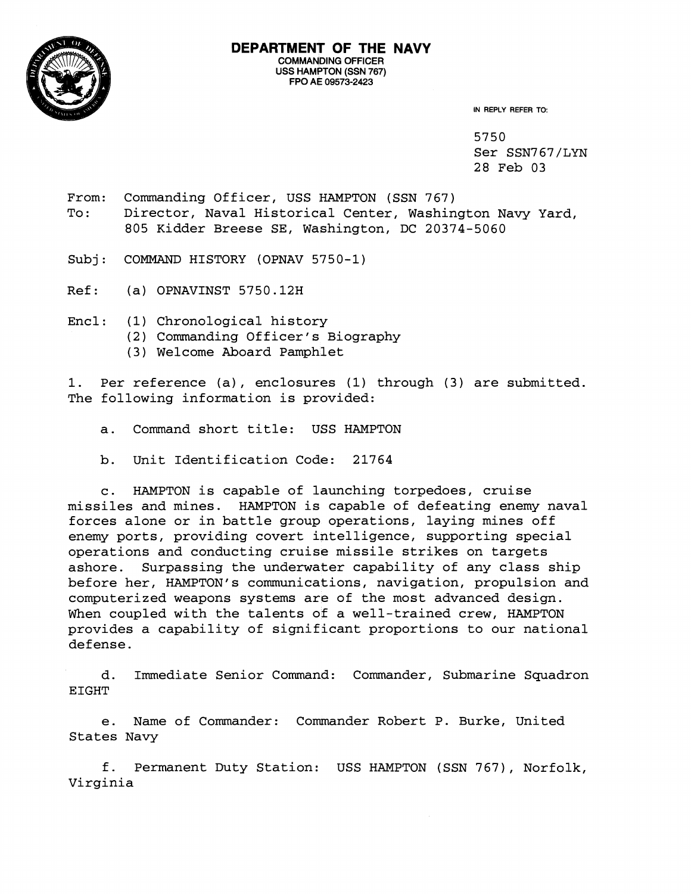

**IN REPLY REFER TO:** 

5750 Ser SSN767/LYN 28 Feb 03

- From: Commanding Officer, USS HAMPTON (SSN 767) To: Director, Naval Historical Center, Washington Navy Yard, 805 Kidder Breese SE, Washington, DC 20374-5060
- Subj: COMMAND HISTORY (OPNAV 5750-1)
- Ref: (a) OPNAVINST 5750.12H
- Encl: (1) Chronological history
	- (2) Commanding Officer's Biography
	- (3) Welcome Aboard Pamphlet

1. Per reference (a), enclosures (1) through (3) are submitted. The following information is provided:

- a. Command short title: USS HAMPTON
- b. Unit Identification Code: 21764

c. HAMPTON is capable of launching torpedoes, cruise missiles and mines. HAMPTON is capable of defeating enemy naval forces alone or in battle group operations, laying mines off enemy ports, providing covert intelligence, supporting special operations and conducting cruise missile strikes on targets ashore. Surpassing the underwater capability of any class ship before her, HAMPTON's communications, navigation, propulsion and computerized weapons systems are of the most advanced design. When coupled with the talents of a well-trained crew, HAMPTON provides a capability of significant proportions to our national defense.

d. Immediate Senior Command: Commander, Submarine Squadron EIGHT

e. Name of Commander: Commander Robert P. Burke, United States Navy

f. Permanent Duty Station: USS HAMPTON (SSN 767), Norfolk, Virginia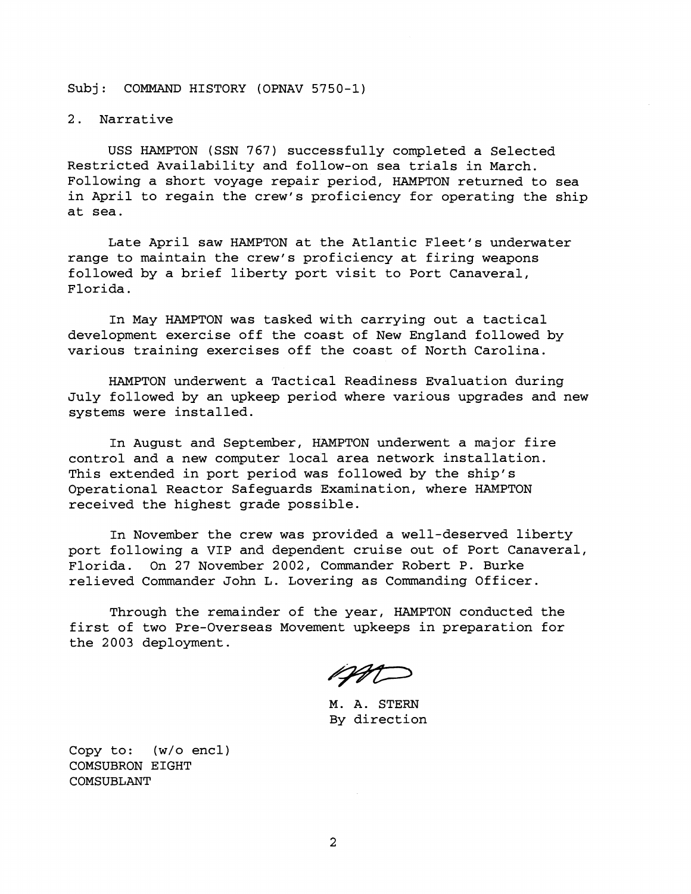## Subj: COMMAND HISTORY (OPNAV 5750-1)

## 2. Narrative

USS HAMPTON (SSN 767) successfully completed a Selected Restricted Availability and follow-on sea trials in March. Following a short voyage repair period, HAMPTON returned to sea in April to regain the crew's proficiency for operating the ship at sea.

Late April saw HAMPTON at the Atlantic Fleet's underwater range to maintain the crew's proficiency at firing weapons followed by a brief liberty port visit to Port Canaveral, Florida.

In May HAMPTON was tasked with carrying out a tactical development exercise off the coast of New England followed by various training exercises off the coast of North Carolina.

HAMPTON underwent a Tactical Readiness Evaluation during July followed by an upkeep period where various upgrades and new systems were installed.

In August and September, HAMPTON underwent a major fire control and a new computer local area network installation. This extended in port period was followed by the ship's Operational Reactor Safeguards Examination, where HAMPTON received the highest grade possible.

In November the crew was provided a well-deserved liberty port following a VIP and dependent cruise out of Port Canaveral, Florida. On 27 November 2002, Commander Robert P. Burke relieved Commander John L. Lovering as Commanding Officer.

Through the remainder of the year, HAMPTON conducted the first of two Pre-Overseas Movement upkeeps in preparation for the 2003 deployment.

AND

M. A. STERN By direction

Copy to: (w/o encl) COMSUBRON EIGHT COMSUBLANT